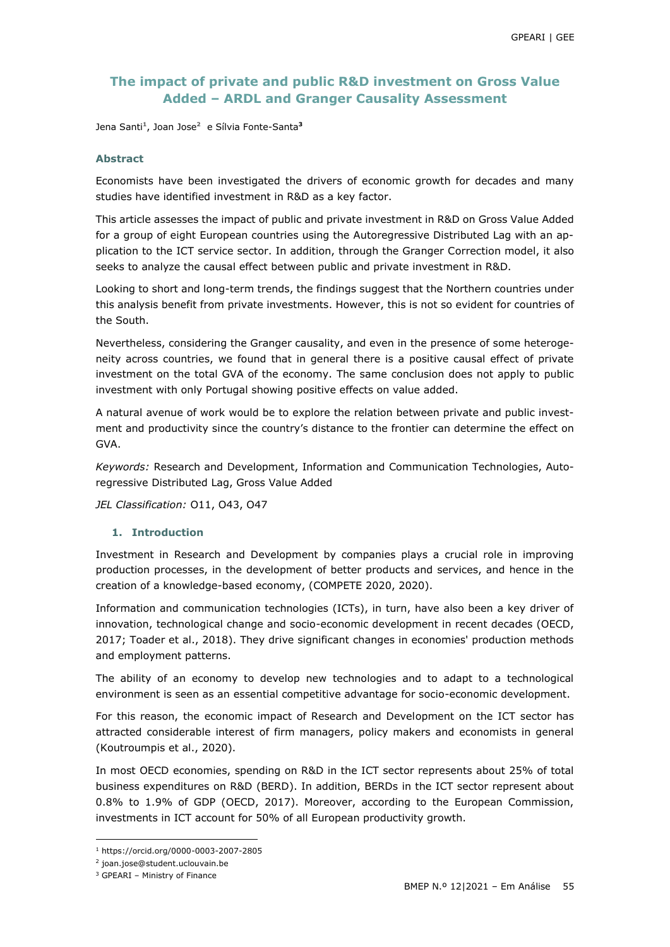## **The impact of private and public R&D investment on Gross Value Added – ARDL and Granger Causality Assessment**

Jena Santi**<sup>1</sup>** , Joan Jose**<sup>2</sup>** e Sílvia Fonte-Santa**<sup>3</sup>**

#### **Abstract**

Economists have been investigated the drivers of economic growth for decades and many studies have identified investment in R&D as a key factor.

This article assesses the impact of public and private investment in R&D on Gross Value Added for a group of eight European countries using the Autoregressive Distributed Lag with an application to the ICT service sector. In addition, through the Granger Correction model, it also seeks to analyze the causal effect between public and private investment in R&D.

Looking to short and long-term trends, the findings suggest that the Northern countries under this analysis benefit from private investments. However, this is not so evident for countries of the South.

Nevertheless, considering the Granger causality, and even in the presence of some heterogeneity across countries, we found that in general there is a positive causal effect of private investment on the total GVA of the economy. The same conclusion does not apply to public investment with only Portugal showing positive effects on value added.

A natural avenue of work would be to explore the relation between private and public investment and productivity since the country's distance to the frontier can determine the effect on GVA.

*Keywords:* Research and Development, Information and Communication Technologies, Autoregressive Distributed Lag, Gross Value Added

*JEL Classification:* O11, O43, O47

#### **1. Introduction**

Investment in Research and Development by companies plays a crucial role in improving production processes, in the development of better products and services, and hence in the creation of a knowledge-based economy, (COMPETE 2020, 2020).

Information and communication technologies (ICTs), in turn, have also been a key driver of innovation, technological change and socio-economic development in recent decades (OECD, 2017; Toader et al., 2018). They drive significant changes in economies' production methods and employment patterns.

The ability of an economy to develop new technologies and to adapt to a technological environment is seen as an essential competitive advantage for socio-economic development.

For this reason, the economic impact of Research and Development on the ICT sector has attracted considerable interest of firm managers, policy makers and economists in general (Koutroumpis et al., 2020).

In most OECD economies, spending on R&D in the ICT sector represents about 25% of total business expenditures on R&D (BERD). In addition, BERDs in the ICT sector represent about 0.8% to 1.9% of GDP (OECD, 2017). Moreover, according to the European Commission, investments in ICT account for 50% of all European productivity growth.

 $\overline{a}$ 

<sup>1</sup> https://orcid.org/0000-0003-2007-2805

<sup>2</sup> joan.jose@student.uclouvain.be

<sup>3</sup> GPEARI – Ministry of Finance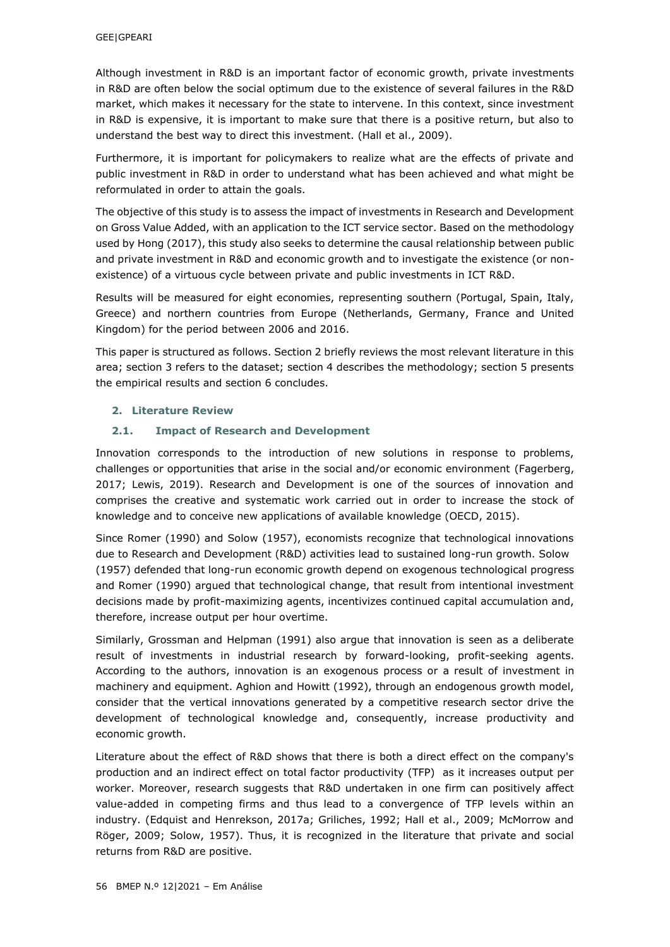Although investment in R&D is an important factor of economic growth, private investments in R&D are often below the social optimum due to the existence of several failures in the R&D market, which makes it necessary for the state to intervene. In this context, since investment in R&D is expensive, it is important to make sure that there is a positive return, but also to understand the best way to direct this investment. (Hall et al., 2009).

Furthermore, it is important for policymakers to realize what are the effects of private and public investment in R&D in order to understand what has been achieved and what might be reformulated in order to attain the goals.

The objective of this study is to assess the impact of investments in Research and Development on Gross Value Added, with an application to the ICT service sector. Based on the methodology used by Hong (2017), this study also seeks to determine the causal relationship between public and private investment in R&D and economic growth and to investigate the existence (or nonexistence) of a virtuous cycle between private and public investments in ICT R&D.

Results will be measured for eight economies, representing southern (Portugal, Spain, Italy, Greece) and northern countries from Europe (Netherlands, Germany, France and United Kingdom) for the period between 2006 and 2016.

This paper is structured as follows. Section 2 briefly reviews the most relevant literature in this area; section 3 refers to the dataset; section 4 describes the methodology; section 5 presents the empirical results and section 6 concludes.

### **2. Literature Review**

## **2.1. Impact of Research and Development**

Innovation corresponds to the introduction of new solutions in response to problems, challenges or opportunities that arise in the social and/or economic environment (Fagerberg, 2017; Lewis, 2019). Research and Development is one of the sources of innovation and comprises the creative and systematic work carried out in order to increase the stock of knowledge and to conceive new applications of available knowledge (OECD, 2015).

Since Romer (1990) and Solow (1957), economists recognize that technological innovations due to Research and Development (R&D) activities lead to sustained long-run growth. Solow (1957) defended that long-run economic growth depend on exogenous technological progress and Romer (1990) argued that technological change, that result from intentional investment decisions made by profit-maximizing agents, incentivizes continued capital accumulation and, therefore, increase output per hour overtime.

Similarly, Grossman and Helpman (1991) also argue that innovation is seen as a deliberate result of investments in industrial research by forward-looking, profit-seeking agents. According to the authors, innovation is an exogenous process or a result of investment in machinery and equipment. Aghion and Howitt (1992), through an endogenous growth model, consider that the vertical innovations generated by a competitive research sector drive the development of technological knowledge and, consequently, increase productivity and economic growth.

Literature about the effect of R&D shows that there is both a direct effect on the company's production and an indirect effect on total factor productivity (TFP) as it increases output per worker. Moreover, research suggests that R&D undertaken in one firm can positively affect value-added in competing firms and thus lead to a convergence of TFP levels within an industry. (Edquist and Henrekson, 2017a; Griliches, 1992; Hall et al., 2009; McMorrow and Röger, 2009; Solow, 1957). Thus, it is recognized in the literature that private and social returns from R&D are positive.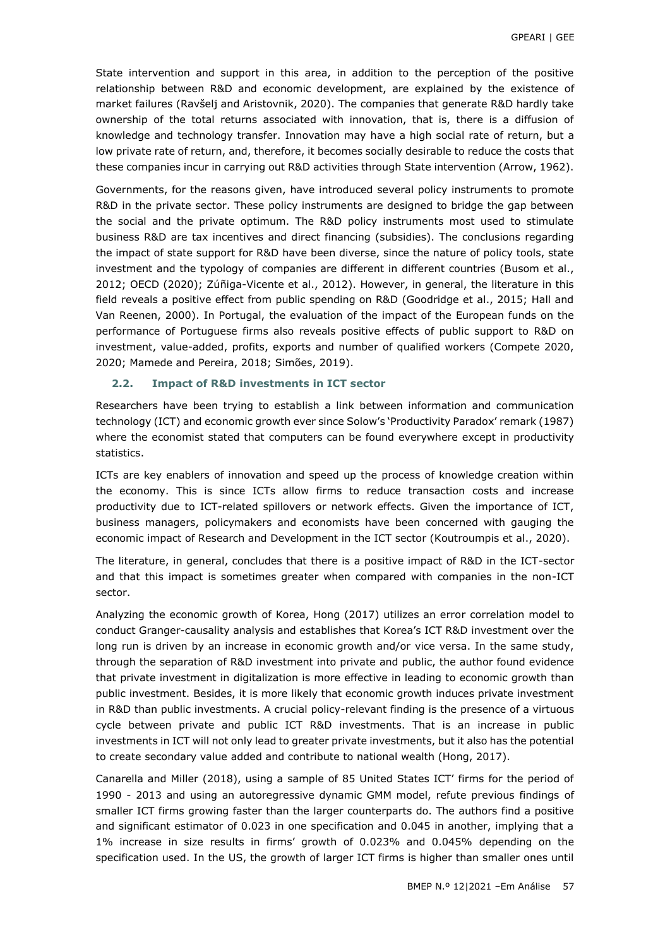State intervention and support in this area, in addition to the perception of the positive relationship between R&D and economic development, are explained by the existence of market failures (Ravšelj and Aristovnik, 2020). The companies that generate R&D hardly take ownership of the total returns associated with innovation, that is, there is a diffusion of knowledge and technology transfer. Innovation may have a high social rate of return, but a low private rate of return, and, therefore, it becomes socially desirable to reduce the costs that these companies incur in carrying out R&D activities through State intervention (Arrow, 1962).

Governments, for the reasons given, have introduced several policy instruments to promote R&D in the private sector. These policy instruments are designed to bridge the gap between the social and the private optimum. The R&D policy instruments most used to stimulate business R&D are tax incentives and direct financing (subsidies). The conclusions regarding the impact of state support for R&D have been diverse, since the nature of policy tools, state investment and the typology of companies are different in different countries (Busom et al., 2012; OECD (2020); Zúñiga-Vicente et al., 2012). However, in general, the literature in this field reveals a positive effect from public spending on R&D (Goodridge et al., 2015; Hall and Van Reenen, 2000). In Portugal, the evaluation of the impact of the European funds on the performance of Portuguese firms also reveals positive effects of public support to R&D on investment, value-added, profits, exports and number of qualified workers (Compete 2020, 2020; Mamede and Pereira, 2018; Simões, 2019).

#### **2.2. Impact of R&D investments in ICT sector**

Researchers have been trying to establish a link between information and communication technology (ICT) and economic growth ever since Solow's 'Productivity Paradox' remark (1987) where the economist stated that computers can be found everywhere except in productivity statistics.

ICTs are key enablers of innovation and speed up the process of knowledge creation within the economy. This is since ICTs allow firms to reduce transaction costs and increase productivity due to ICT-related spillovers or network effects. Given the importance of ICT, business managers, policymakers and economists have been concerned with gauging the economic impact of Research and Development in the ICT sector (Koutroumpis et al., 2020).

The literature, in general, concludes that there is a positive impact of R&D in the ICT-sector and that this impact is sometimes greater when compared with companies in the non-ICT sector.

Analyzing the economic growth of Korea, Hong (2017) utilizes an error correlation model to conduct Granger-causality analysis and establishes that Korea's ICT R&D investment over the long run is driven by an increase in economic growth and/or vice versa. In the same study, through the separation of R&D investment into private and public, the author found evidence that private investment in digitalization is more effective in leading to economic growth than public investment. Besides, it is more likely that economic growth induces private investment in R&D than public investments. A crucial policy-relevant finding is the presence of a virtuous cycle between private and public ICT R&D investments. That is an increase in public investments in ICT will not only lead to greater private investments, but it also has the potential to create secondary value added and contribute to national wealth (Hong, 2017).

Canarella and Miller (2018), using a sample of 85 United States ICT' firms for the period of 1990 - 2013 and using an autoregressive dynamic GMM model, refute previous findings of smaller ICT firms growing faster than the larger counterparts do. The authors find a positive and significant estimator of 0.023 in one specification and 0.045 in another, implying that a 1% increase in size results in firms' growth of 0.023% and 0.045% depending on the specification used. In the US, the growth of larger ICT firms is higher than smaller ones until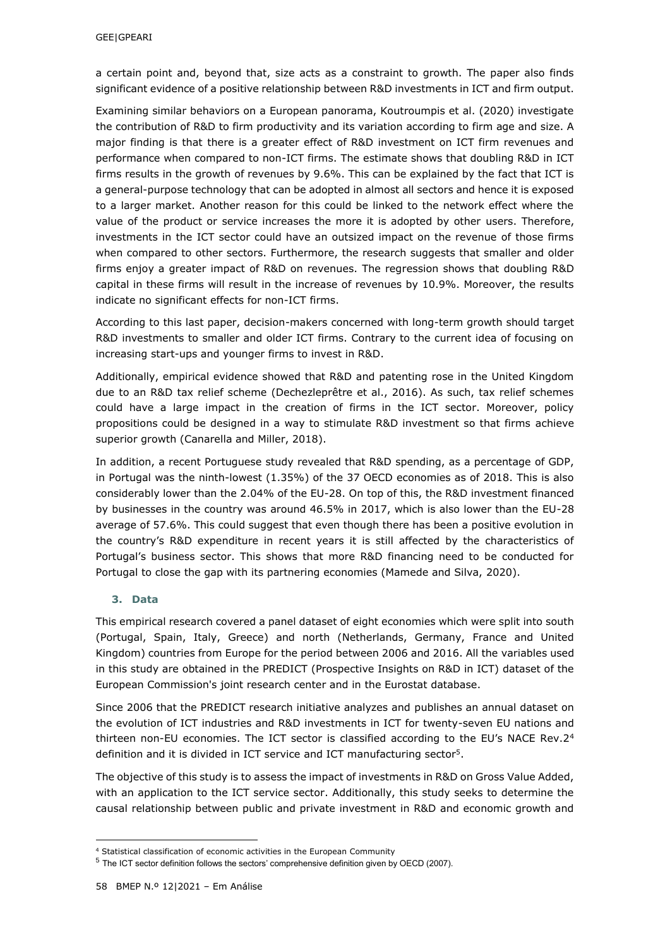a certain point and, beyond that, size acts as a constraint to growth. The paper also finds significant evidence of a positive relationship between R&D investments in ICT and firm output.

Examining similar behaviors on a European panorama, Koutroumpis et al. (2020) investigate the contribution of R&D to firm productivity and its variation according to firm age and size. A major finding is that there is a greater effect of R&D investment on ICT firm revenues and performance when compared to non-ICT firms. The estimate shows that doubling R&D in ICT firms results in the growth of revenues by 9.6%. This can be explained by the fact that ICT is a general-purpose technology that can be adopted in almost all sectors and hence it is exposed to a larger market. Another reason for this could be linked to the network effect where the value of the product or service increases the more it is adopted by other users. Therefore, investments in the ICT sector could have an outsized impact on the revenue of those firms when compared to other sectors. Furthermore, the research suggests that smaller and older firms enjoy a greater impact of R&D on revenues. The regression shows that doubling R&D capital in these firms will result in the increase of revenues by 10.9%. Moreover, the results indicate no significant effects for non-ICT firms.

According to this last paper, decision-makers concerned with long-term growth should target R&D investments to smaller and older ICT firms. Contrary to the current idea of focusing on increasing start-ups and younger firms to invest in R&D.

Additionally, empirical evidence showed that R&D and patenting rose in the United Kingdom due to an R&D tax relief scheme (Dechezleprêtre et al., 2016). As such, tax relief schemes could have a large impact in the creation of firms in the ICT sector. Moreover, policy propositions could be designed in a way to stimulate R&D investment so that firms achieve superior growth (Canarella and Miller, 2018).

In addition, a recent Portuguese study revealed that R&D spending, as a percentage of GDP, in Portugal was the ninth-lowest (1.35%) of the 37 OECD economies as of 2018. This is also considerably lower than the 2.04% of the EU-28. On top of this, the R&D investment financed by businesses in the country was around 46.5% in 2017, which is also lower than the EU-28 average of 57.6%. This could suggest that even though there has been a positive evolution in the country's R&D expenditure in recent years it is still affected by the characteristics of Portugal's business sector. This shows that more R&D financing need to be conducted for Portugal to close the gap with its partnering economies (Mamede and Silva, 2020).

### **3. Data**

-

This empirical research covered a panel dataset of eight economies which were split into south (Portugal, Spain, Italy, Greece) and north (Netherlands, Germany, France and United Kingdom) countries from Europe for the period between 2006 and 2016. All the variables used in this study are obtained in the PREDICT (Prospective Insights on R&D in ICT) dataset of the European Commission's joint research center and in the Eurostat database.

Since 2006 that the PREDICT research initiative analyzes and publishes an annual dataset on the evolution of ICT industries and R&D investments in ICT for twenty-seven EU nations and thirteen non-EU economies. The ICT sector is classified according to the EU's NACE Rev. $2<sup>4</sup>$ definition and it is divided in ICT service and ICT manufacturing sector<sup>5</sup> .

The objective of this study is to assess the impact of investments in R&D on Gross Value Added, with an application to the ICT service sector. Additionally, this study seeks to determine the causal relationship between public and private investment in R&D and economic growth and

<sup>4</sup> Statistical classification of economic activities in the European Community

<sup>5</sup> The ICT sector definition follows the sectors' comprehensive definition given by OECD (2007).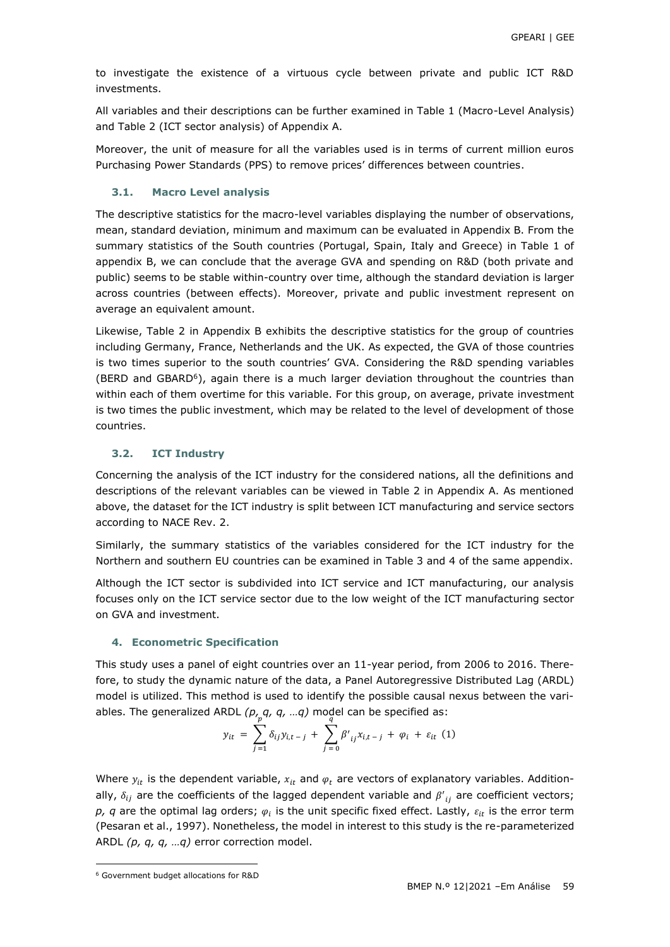to investigate the existence of a virtuous cycle between private and public ICT R&D investments.

All variables and their descriptions can be further examined in Table 1 (Macro-Level Analysis) and Table 2 (ICT sector analysis) of Appendix A.

Moreover, the unit of measure for all the variables used is in terms of current million euros Purchasing Power Standards (PPS) to remove prices' differences between countries.

#### **3.1. Macro Level analysis**

The descriptive statistics for the macro-level variables displaying the number of observations, mean, standard deviation, minimum and maximum can be evaluated in Appendix B. From the summary statistics of the South countries (Portugal, Spain, Italy and Greece) in Table 1 of appendix B, we can conclude that the average GVA and spending on R&D (both private and public) seems to be stable within-country over time, although the standard deviation is larger across countries (between effects). Moreover, private and public investment represent on average an equivalent amount.

Likewise, Table 2 in Appendix B exhibits the descriptive statistics for the group of countries including Germany, France, Netherlands and the UK. As expected, the GVA of those countries is two times superior to the south countries' GVA. Considering the R&D spending variables (BERD and GBARD<sup>6</sup>), again there is a much larger deviation throughout the countries than within each of them overtime for this variable. For this group, on average, private investment is two times the public investment, which may be related to the level of development of those countries.

### **3.2. ICT Industry**

Concerning the analysis of the ICT industry for the considered nations, all the definitions and descriptions of the relevant variables can be viewed in Table 2 in Appendix A. As mentioned above, the dataset for the ICT industry is split between ICT manufacturing and service sectors according to NACE Rev. 2.

Similarly, the summary statistics of the variables considered for the ICT industry for the Northern and southern EU countries can be examined in Table 3 and 4 of the same appendix.

Although the ICT sector is subdivided into ICT service and ICT manufacturing, our analysis focuses only on the ICT service sector due to the low weight of the ICT manufacturing sector on GVA and investment.

#### **4. Econometric Specification**

This study uses a panel of eight countries over an 11-year period, from 2006 to 2016. Therefore, to study the dynamic nature of the data, a Panel Autoregressive Distributed Lag (ARDL) model is utilized. This method is used to identify the possible causal nexus between the variables. The generalized ARDL *(p<sub>r, g</sub>, q, ...q)* model can be specified as:

$$
y_{it} = \sum_{j=1}^{P} \delta_{ij} y_{i,t-j} + \sum_{j=0}^{q} \beta'_{ij} x_{i,t-j} + \varphi_i + \varepsilon_{it} \quad (1)
$$

Where  $y_{it}$  is the dependent variable,  $x_{it}$  and  $\varphi_t$  are vectors of explanatory variables. Additionally,  $\delta_{ij}$  are the coefficients of the lagged dependent variable and  $\beta{'}_{ij}$  are coefficient vectors;  $\rho$ ,  $q$  are the optimal lag orders;  $\varphi_i$  is the unit specific fixed effect. Lastly,  $\varepsilon_{it}$  is the error term (Pesaran et al., 1997). Nonetheless, the model in interest to this study is the re-parameterized ARDL *(p, q, q, …q)* error correction model.

-

<sup>6</sup> Government budget allocations for R&D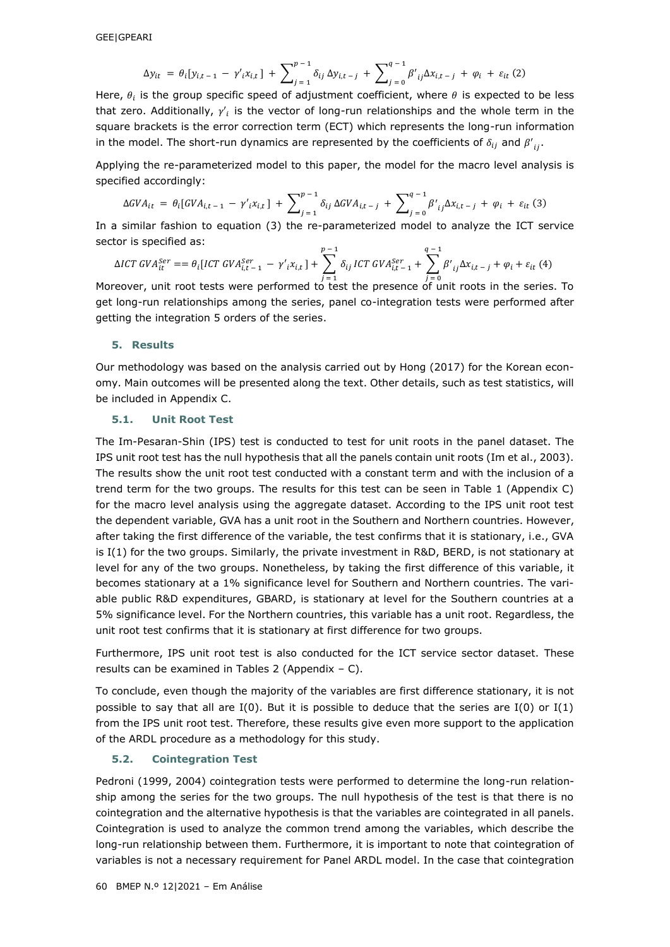$$
\Delta y_{it} = \theta_i [y_{i,t-1} - \gamma'_i x_{i,t}] + \sum_{j=1}^{p-1} \delta_{ij} \Delta y_{i,t-j} + \sum_{j=0}^{q-1} \beta'_{ij} \Delta x_{i,t-j} + \varphi_i + \varepsilon_{it} (2)
$$

Here,  $\theta_i$  is the group specific speed of adjustment coefficient, where  $\theta$  is expected to be less that zero. Additionally,  $\gamma'_i$  is the vector of long-run relationships and the whole term in the square brackets is the error correction term (ECT) which represents the long-run information in the model. The short-run dynamics are represented by the coefficients of  $\delta_{ij}$  and  $\beta'_{ij}$ .

Applying the re-parameterized model to this paper, the model for the macro level analysis is specified accordingly:

$$
\Delta GVA_{it} = \theta_i [GVA_{i,t-1} - \gamma'_{i}x_{i,t}] + \sum_{j=1}^{p-1} \delta_{ij} \Delta GVA_{i,t-j} + \sum_{j=0}^{q-1} \beta'_{ij} \Delta x_{i,t-j} + \varphi_i + \varepsilon_{it} (3)
$$

In a similar fashion to equation (3) the re-parameterized model to analyze the ICT service sector is specified as:

$$
\Delta ICT\ GVA_{it}^{Ser} = \theta_i [ICT\ GVA_{i,t-1}^{Ser} - \gamma'_{i}x_{i,t}] + \sum_{j=1}^{p-1} \delta_{ij} ICT\ GVA_{i,t-1}^{Ser} + \sum_{j=0}^{q-1} \beta'_{ij} \Delta x_{i,t-j} + \varphi_i + \varepsilon_{it} (4)
$$

Moreover, unit root tests were performed to test the presence of unit roots in the series. To get long-run relationships among the series, panel co-integration tests were performed after getting the integration 5 orders of the series.

#### **5. Results**

Our methodology was based on the analysis carried out by Hong (2017) for the Korean economy. Main outcomes will be presented along the text. Other details, such as test statistics, will be included in Appendix C.

#### **5.1. Unit Root Test**

The Im-Pesaran-Shin (IPS) test is conducted to test for unit roots in the panel dataset. The IPS unit root test has the null hypothesis that all the panels contain unit roots (Im et al., 2003). The results show the unit root test conducted with a constant term and with the inclusion of a trend term for the two groups. The results for this test can be seen in Table 1 (Appendix C) for the macro level analysis using the aggregate dataset. According to the IPS unit root test the dependent variable, GVA has a unit root in the Southern and Northern countries. However, after taking the first difference of the variable, the test confirms that it is stationary, i.e., GVA is I(1) for the two groups. Similarly, the private investment in R&D, BERD, is not stationary at level for any of the two groups. Nonetheless, by taking the first difference of this variable, it becomes stationary at a 1% significance level for Southern and Northern countries. The variable public R&D expenditures, GBARD, is stationary at level for the Southern countries at a 5% significance level. For the Northern countries, this variable has a unit root. Regardless, the unit root test confirms that it is stationary at first difference for two groups.

Furthermore, IPS unit root test is also conducted for the ICT service sector dataset. These results can be examined in Tables 2 (Appendix  $- C$ ).

To conclude, even though the majority of the variables are first difference stationary, it is not possible to say that all are  $I(0)$ . But it is possible to deduce that the series are  $I(0)$  or  $I(1)$ from the IPS unit root test. Therefore, these results give even more support to the application of the ARDL procedure as a methodology for this study.

#### **5.2. Cointegration Test**

Pedroni (1999, 2004) cointegration tests were performed to determine the long-run relationship among the series for the two groups. The null hypothesis of the test is that there is no cointegration and the alternative hypothesis is that the variables are cointegrated in all panels. Cointegration is used to analyze the common trend among the variables, which describe the long-run relationship between them. Furthermore, it is important to note that cointegration of variables is not a necessary requirement for Panel ARDL model. In the case that cointegration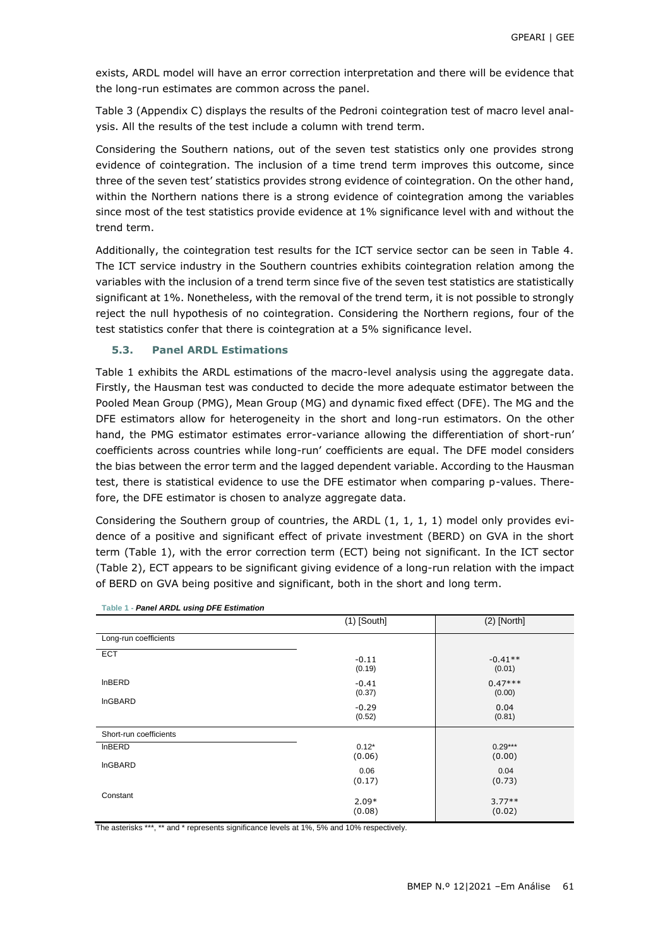exists, ARDL model will have an error correction interpretation and there will be evidence that the long-run estimates are common across the panel.

Table 3 (Appendix C) displays the results of the Pedroni cointegration test of macro level analysis. All the results of the test include a column with trend term.

Considering the Southern nations, out of the seven test statistics only one provides strong evidence of cointegration. The inclusion of a time trend term improves this outcome, since three of the seven test' statistics provides strong evidence of cointegration. On the other hand, within the Northern nations there is a strong evidence of cointegration among the variables since most of the test statistics provide evidence at 1% significance level with and without the trend term.

Additionally, the cointegration test results for the ICT service sector can be seen in Table 4. The ICT service industry in the Southern countries exhibits cointegration relation among the variables with the inclusion of a trend term since five of the seven test statistics are statistically significant at 1%. Nonetheless, with the removal of the trend term, it is not possible to strongly reject the null hypothesis of no cointegration. Considering the Northern regions, four of the test statistics confer that there is cointegration at a 5% significance level.

### **5.3. Panel ARDL Estimations**

Table 1 exhibits the ARDL estimations of the macro-level analysis using the aggregate data. Firstly, the Hausman test was conducted to decide the more adequate estimator between the Pooled Mean Group (PMG), Mean Group (MG) and dynamic fixed effect (DFE). The MG and the DFE estimators allow for heterogeneity in the short and long-run estimators. On the other hand, the PMG estimator estimates error-variance allowing the differentiation of short-run' coefficients across countries while long-run' coefficients are equal. The DFE model considers the bias between the error term and the lagged dependent variable. According to the Hausman test, there is statistical evidence to use the DFE estimator when comparing p-values. Therefore, the DFE estimator is chosen to analyze aggregate data.

Considering the Southern group of countries, the ARDL (1, 1, 1, 1) model only provides evidence of a positive and significant effect of private investment (BERD) on GVA in the short term (Table 1), with the error correction term (ECT) being not significant. In the ICT sector (Table 2), ECT appears to be significant giving evidence of a long-run relation with the impact of BERD on GVA being positive and significant, both in the short and long term.

|                        | $(1)$ [South]     | $(2)$ [North]       |
|------------------------|-------------------|---------------------|
| Long-run coefficients  |                   |                     |
| <b>ECT</b>             | $-0.11$<br>(0.19) | $-0.41**$<br>(0.01) |
| <b>InBERD</b>          | $-0.41$<br>(0.37) | $0.47***$<br>(0.00) |
| <b>InGBARD</b>         | $-0.29$<br>(0.52) | 0.04<br>(0.81)      |
| Short-run coefficients |                   |                     |
| <b>InBERD</b>          | $0.12*$<br>(0.06) | $0.29***$<br>(0.00) |
| <b>InGBARD</b>         | 0.06<br>(0.17)    | 0.04<br>(0.73)      |
| Constant               | $2.09*$<br>(0.08) | $3.77**$<br>(0.02)  |

**Table 1 -** *Panel ARDL using DFE Estimation*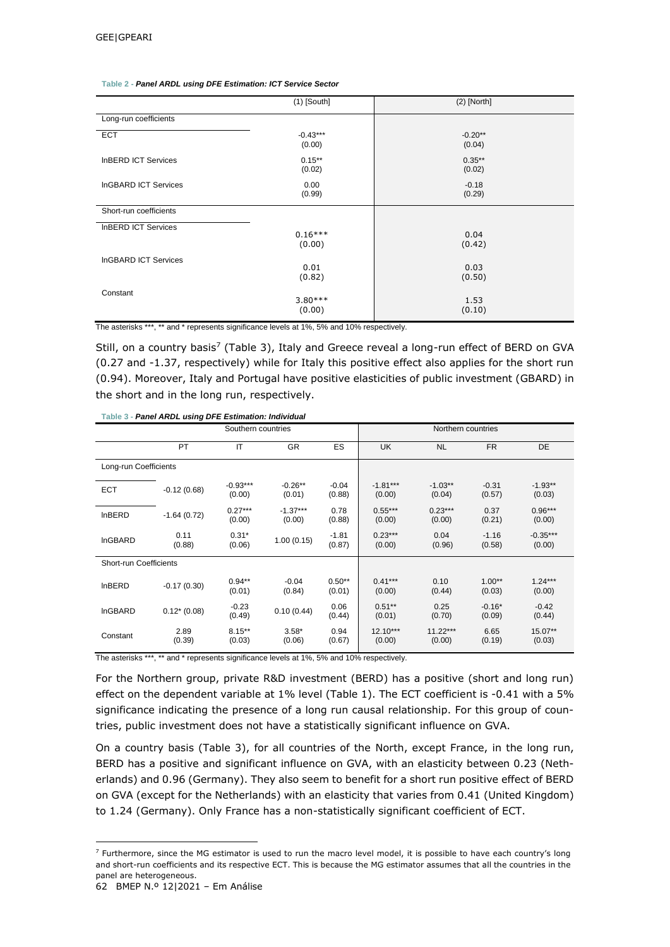|                             | $(1)$ [South]        | $(2)$ [North]       |
|-----------------------------|----------------------|---------------------|
|                             |                      |                     |
| Long-run coefficients       |                      |                     |
| <b>ECT</b>                  | $-0.43***$<br>(0.00) | $-0.20**$<br>(0.04) |
| <b>InBERD ICT Services</b>  | $0.15***$<br>(0.02)  | $0.35***$<br>(0.02) |
| <b>InGBARD ICT Services</b> | 0.00<br>(0.99)       | $-0.18$<br>(0.29)   |
| Short-run coefficients      |                      |                     |
| <b>InBERD ICT Services</b>  | $0.16***$<br>(0.00)  | 0.04<br>(0.42)      |
| <b>InGBARD ICT Services</b> | 0.01<br>(0.82)       | 0.03<br>(0.50)      |
| Constant                    | $3.80***$<br>(0.00)  | 1.53<br>(0.10)      |

#### **Table 2 -** *Panel ARDL using DFE Estimation: ICT Service Sector*

The asterisks \*\*\*, \*\* and \* represents significance levels at 1%, 5% and 10% respectively.

Still, on a country basis<sup>7</sup> (Table 3), Italy and Greece reveal a long-run effect of BERD on GVA (0.27 and -1.37, respectively) while for Italy this positive effect also applies for the short run (0.94). Moreover, Italy and Portugal have positive elasticities of public investment (GBARD) in the short and in the long run, respectively.

#### **Table 3 -** *Panel ARDL using DFE Estimation: Individual*

|                               |                | Southern countries   |                      |                    | Northern countries   |                      |                    |                      |  |
|-------------------------------|----------------|----------------------|----------------------|--------------------|----------------------|----------------------|--------------------|----------------------|--|
|                               | PT             | IT                   | <b>GR</b>            |                    | <b>UK</b>            | <b>NL</b>            | <b>FR</b>          | DE                   |  |
| Long-run Coefficients         |                |                      |                      |                    |                      |                      |                    |                      |  |
| <b>ECT</b>                    | $-0.12(0.68)$  | $-0.93***$<br>(0.00) | $-0.26***$<br>(0.01) | $-0.04$<br>(0.88)  | $-1.81***$<br>(0.00) | $-1.03**$<br>(0.04)  | $-0.31$<br>(0.57)  | $-1.93**$<br>(0.03)  |  |
| <b>InBERD</b>                 | $-1.64(0.72)$  | $0.27***$<br>(0.00)  | $-1.37***$<br>(0.00) | 0.78<br>(0.88)     | $0.55***$<br>(0.00)  | $0.23***$<br>(0.00)  | 0.37<br>(0.21)     | $0.96***$<br>(0.00)  |  |
| <b>InGBARD</b>                | 0.11<br>(0.88) | $0.31*$<br>(0.06)    | 1.00(0.15)           | $-1.81$<br>(0.87)  | $0.23***$<br>(0.00)  | 0.04<br>(0.96)       | $-1.16$<br>(0.58)  | $-0.35***$<br>(0.00) |  |
| <b>Short-run Coefficients</b> |                |                      |                      |                    |                      |                      |                    |                      |  |
| <b>InBERD</b>                 | $-0.17(0.30)$  | $0.94***$<br>(0.01)  | $-0.04$<br>(0.84)    | $0.50**$<br>(0.01) | $0.41***$<br>(0.00)  | 0.10<br>(0.44)       | $1.00**$<br>(0.03) | $1.24***$<br>(0.00)  |  |
| <b>InGBARD</b>                | $0.12*(0.08)$  | $-0.23$<br>(0.49)    | 0.10(0.44)           | 0.06<br>(0.44)     | $0.51***$<br>(0.01)  | 0.25<br>(0.70)       | $-0.16*$<br>(0.09) | $-0.42$<br>(0.44)    |  |
| Constant                      | 2.89<br>(0.39) | $8.15***$<br>(0.03)  | $3.58*$<br>(0.06)    | 0.94<br>(0.67)     | $12.10***$<br>(0.00) | $11.22***$<br>(0.00) | 6.65<br>(0.19)     | 15.07**<br>(0.03)    |  |

The asterisks \*\*\*, \*\* and \* represents significance levels at 1%, 5% and 10% respectively.

For the Northern group, private R&D investment (BERD) has a positive (short and long run) effect on the dependent variable at 1% level (Table 1). The ECT coefficient is -0.41 with a 5% significance indicating the presence of a long run causal relationship. For this group of countries, public investment does not have a statistically significant influence on GVA.

On a country basis (Table 3), for all countries of the North, except France, in the long run, BERD has a positive and significant influence on GVA, with an elasticity between 0.23 (Netherlands) and 0.96 (Germany). They also seem to benefit for a short run positive effect of BERD on GVA (except for the Netherlands) with an elasticity that varies from 0.41 (United Kingdom) to 1.24 (Germany). Only France has a non-statistically significant coefficient of ECT.

-

 $<sup>7</sup>$  Furthermore, since the MG estimator is used to run the macro level model, it is possible to have each country's long</sup> and short-run coefficients and its respective ECT. This is because the MG estimator assumes that all the countries in the panel are heterogeneous.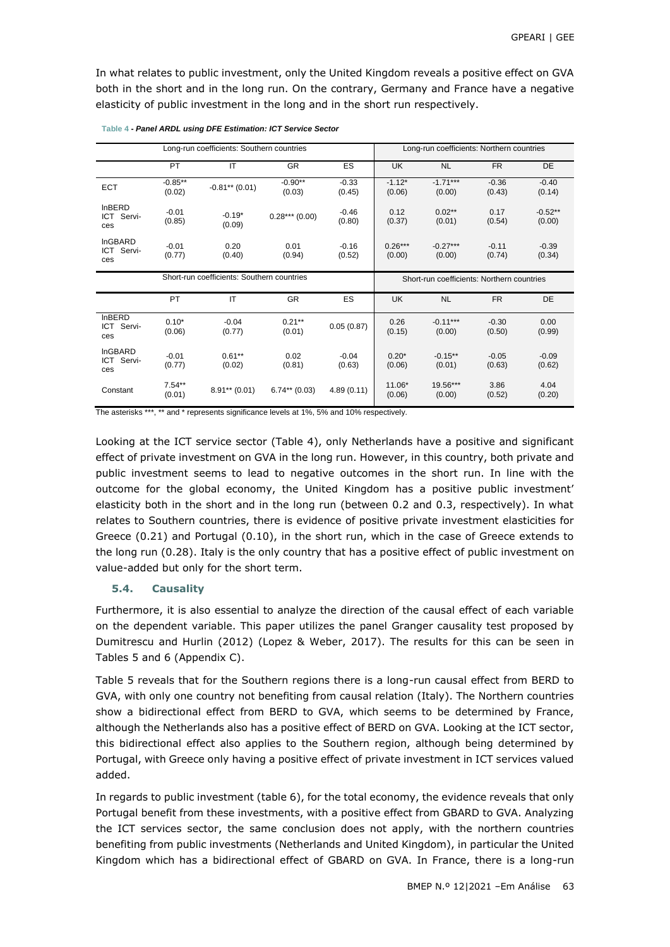In what relates to public investment, only the United Kingdom reveals a positive effect on GVA both in the short and in the long run. On the contrary, Germany and France have a negative elasticity of public investment in the long and in the short run respectively.

|                                     |                     | Long-run coefficients: Southern countries  |                                            |                   | Long-run coefficients: Northern countries |                      |                   |                     |  |
|-------------------------------------|---------------------|--------------------------------------------|--------------------------------------------|-------------------|-------------------------------------------|----------------------|-------------------|---------------------|--|
|                                     | PT                  | IT                                         | <b>GR</b>                                  | ES                | UK                                        | <b>NL</b>            | <b>FR</b>         | <b>DE</b>           |  |
| <b>ECT</b>                          | $-0.85**$<br>(0.02) | $-0.81**$ (0.01)                           | $-0.90**$<br>(0.03)                        | $-0.33$<br>(0.45) | $-1.12*$<br>(0.06)                        | $-1.71***$<br>(0.00) | $-0.36$<br>(0.43) | $-0.40$<br>(0.14)   |  |
| <b>InBERD</b><br>ICT Servi-<br>ces  | $-0.01$<br>(0.85)   | $-0.19*$<br>(0.09)                         | $0.28***(0.00)$                            | $-0.46$<br>(0.80) | 0.12<br>(0.37)                            | $0.02**$<br>(0.01)   | 0.17<br>(0.54)    | $-0.52**$<br>(0.00) |  |
| <b>InGBARD</b><br>ICT Servi-<br>ces | $-0.01$<br>(0.77)   | 0.20<br>(0.40)                             | 0.01<br>(0.94)                             | $-0.16$<br>(0.52) | $0.26***$<br>(0.00)                       | $-0.27***$<br>(0.00) | $-0.11$<br>(0.74) | $-0.39$<br>(0.34)   |  |
|                                     |                     | Short-run coefficients: Southern countries | Short-run coefficients: Northern countries |                   |                                           |                      |                   |                     |  |
|                                     | PT                  | IT                                         | <b>GR</b>                                  | ES                | <b>UK</b>                                 | <b>NL</b>            | <b>FR</b>         | <b>DE</b>           |  |
| <b>InBERD</b><br>ICT Servi-<br>ces  | $0.10*$<br>(0.06)   | $-0.04$<br>(0.77)                          | $0.21***$<br>(0.01)                        | 0.05(0.87)        | 0.26<br>(0.15)                            | $-0.11***$<br>(0.00) | $-0.30$<br>(0.50) | 0.00<br>(0.99)      |  |
| <b>InGBARD</b><br>ICT Servi-<br>ces | $-0.01$<br>(0.77)   | $0.61***$<br>(0.02)                        | 0.02<br>(0.81)                             | $-0.04$<br>(0.63) | $0.20*$<br>(0.06)                         | $-0.15***$<br>(0.01) | $-0.05$<br>(0.63) | $-0.09$<br>(0.62)   |  |
| Constant                            | $7.54**$<br>(0.01)  | $8.91***$ (0.01)                           | $6.74**$ (0.03)                            | 4.89(0.11)        | 11.06*<br>(0.06)                          | 19.56***<br>(0.00)   | 3.86<br>(0.52)    | 4.04<br>(0.20)      |  |

| Table 4 - Panel ARDL using DFE Estimation: ICT Service Sector |
|---------------------------------------------------------------|
|---------------------------------------------------------------|

The asterisks \*\*\*, \*\* and \* represents significance levels at 1%, 5% and 10% respectively.

Looking at the ICT service sector (Table 4), only Netherlands have a positive and significant effect of private investment on GVA in the long run. However, in this country, both private and public investment seems to lead to negative outcomes in the short run. In line with the outcome for the global economy, the United Kingdom has a positive public investment' elasticity both in the short and in the long run (between 0.2 and 0.3, respectively). In what relates to Southern countries, there is evidence of positive private investment elasticities for Greece (0.21) and Portugal (0.10), in the short run, which in the case of Greece extends to the long run (0.28). Italy is the only country that has a positive effect of public investment on value-added but only for the short term.

#### **5.4. Causality**

Furthermore, it is also essential to analyze the direction of the causal effect of each variable on the dependent variable. This paper utilizes the panel Granger causality test proposed by Dumitrescu and Hurlin (2012) (Lopez & Weber, 2017). The results for this can be seen in Tables 5 and 6 (Appendix C).

Table 5 reveals that for the Southern regions there is a long-run causal effect from BERD to GVA, with only one country not benefiting from causal relation (Italy). The Northern countries show a bidirectional effect from BERD to GVA, which seems to be determined by France, although the Netherlands also has a positive effect of BERD on GVA. Looking at the ICT sector, this bidirectional effect also applies to the Southern region, although being determined by Portugal, with Greece only having a positive effect of private investment in ICT services valued added.

In regards to public investment (table 6), for the total economy, the evidence reveals that only Portugal benefit from these investments, with a positive effect from GBARD to GVA. Analyzing the ICT services sector, the same conclusion does not apply, with the northern countries benefiting from public investments (Netherlands and United Kingdom), in particular the United Kingdom which has a bidirectional effect of GBARD on GVA. In France, there is a long-run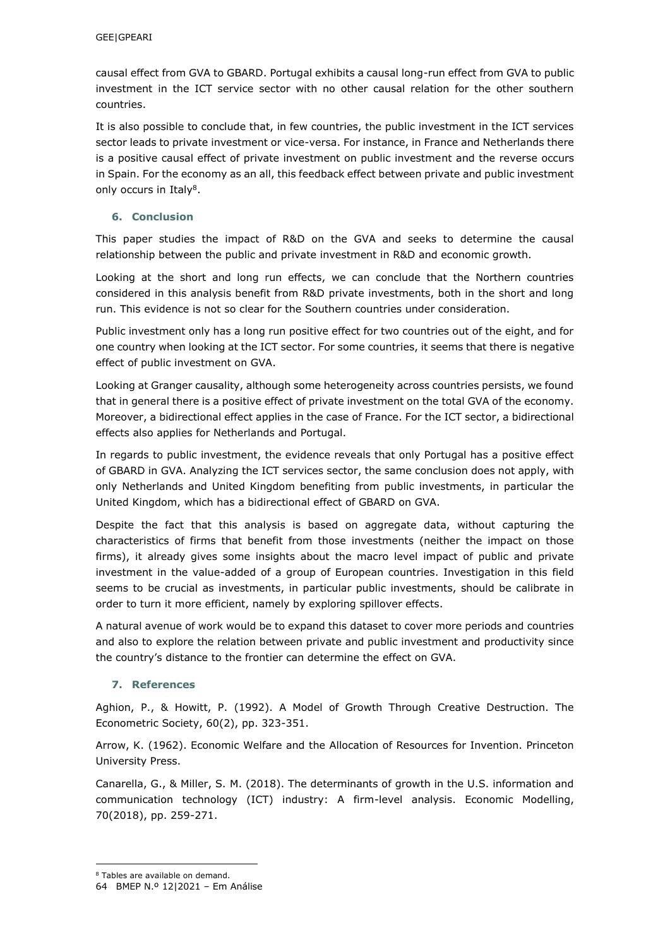causal effect from GVA to GBARD. Portugal exhibits a causal long-run effect from GVA to public investment in the ICT service sector with no other causal relation for the other southern countries.

It is also possible to conclude that, in few countries, the public investment in the ICT services sector leads to private investment or vice-versa. For instance, in France and Netherlands there is a positive causal effect of private investment on public investment and the reverse occurs in Spain. For the economy as an all, this feedback effect between private and public investment only occurs in Italy<sup>8</sup>.

### **6. Conclusion**

This paper studies the impact of R&D on the GVA and seeks to determine the causal relationship between the public and private investment in R&D and economic growth.

Looking at the short and long run effects, we can conclude that the Northern countries considered in this analysis benefit from R&D private investments, both in the short and long run. This evidence is not so clear for the Southern countries under consideration.

Public investment only has a long run positive effect for two countries out of the eight, and for one country when looking at the ICT sector. For some countries, it seems that there is negative effect of public investment on GVA.

Looking at Granger causality, although some heterogeneity across countries persists, we found that in general there is a positive effect of private investment on the total GVA of the economy. Moreover, a bidirectional effect applies in the case of France. For the ICT sector, a bidirectional effects also applies for Netherlands and Portugal.

In regards to public investment, the evidence reveals that only Portugal has a positive effect of GBARD in GVA. Analyzing the ICT services sector, the same conclusion does not apply, with only Netherlands and United Kingdom benefiting from public investments, in particular the United Kingdom, which has a bidirectional effect of GBARD on GVA.

Despite the fact that this analysis is based on aggregate data, without capturing the characteristics of firms that benefit from those investments (neither the impact on those firms), it already gives some insights about the macro level impact of public and private investment in the value-added of a group of European countries. Investigation in this field seems to be crucial as investments, in particular public investments, should be calibrate in order to turn it more efficient, namely by exploring spillover effects.

A natural avenue of work would be to expand this dataset to cover more periods and countries and also to explore the relation between private and public investment and productivity since the country's distance to the frontier can determine the effect on GVA.

### **7. References**

Aghion, P., & Howitt, P. (1992). A Model of Growth Through Creative Destruction. The Econometric Society, 60(2), pp. 323-351.

Arrow, K. (1962). Economic Welfare and the Allocation of Resources for Invention. Princeton University Press.

Canarella, G., & Miller, S. M. (2018). The determinants of growth in the U.S. information and communication technology (ICT) industry: A firm-level analysis. Economic Modelling, 70(2018), pp. 259-271.

-

<sup>8</sup> Tables are available on demand.

<sup>64</sup> BMEP N.º 12|2021 – Em Análise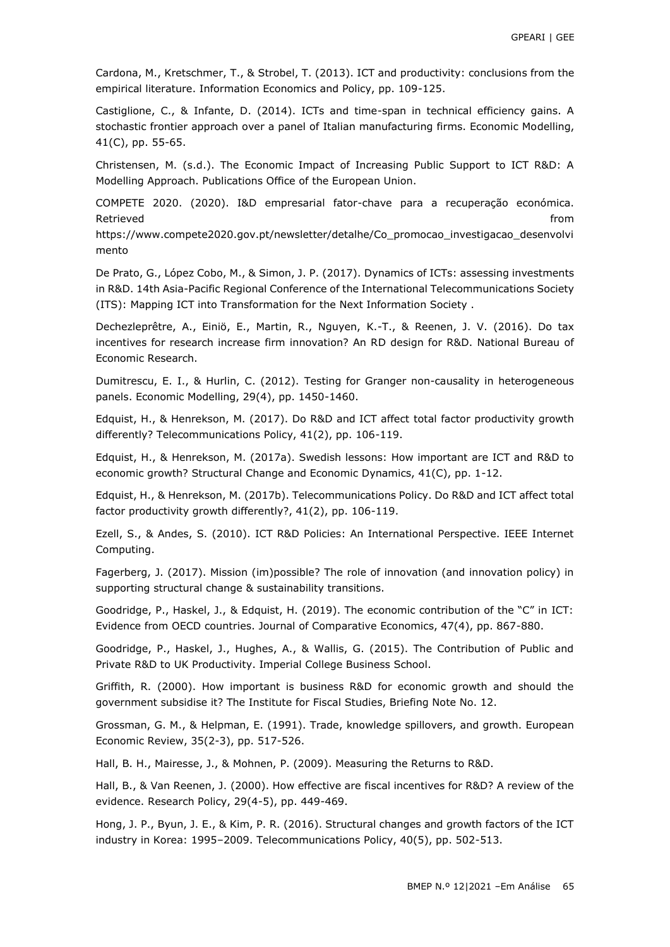Cardona, M., Kretschmer, T., & Strobel, T. (2013). ICT and productivity: conclusions from the empirical literature. Information Economics and Policy, pp. 109-125.

Castiglione, C., & Infante, D. (2014). ICTs and time-span in technical efficiency gains. A stochastic frontier approach over a panel of Italian manufacturing firms. Economic Modelling, 41(C), pp. 55-65.

Christensen, M. (s.d.). The Economic Impact of Increasing Public Support to ICT R&D: A Modelling Approach. Publications Office of the European Union.

COMPETE 2020. (2020). I&D empresarial fator-chave para a recuperação económica. Retrieved **from the contract of the contract of the contract of the contract of the contract of the contract of the contract of the contract of the contract of the contract of the contract of the contract of the contract o** 

https://www.compete2020.gov.pt/newsletter/detalhe/Co\_promocao\_investigacao\_desenvolvi mento

De Prato, G., López Cobo, M., & Simon, J. P. (2017). Dynamics of ICTs: assessing investments in R&D. 14th Asia-Pacific Regional Conference of the International Telecommunications Society (ITS): Mapping ICT into Transformation for the Next Information Society .

Dechezleprêtre, A., Einiö, E., Martin, R., Nguyen, K.-T., & Reenen, J. V. (2016). Do tax incentives for research increase firm innovation? An RD design for R&D. National Bureau of Economic Research.

Dumitrescu, E. I., & Hurlin, C. (2012). Testing for Granger non-causality in heterogeneous panels. Economic Modelling, 29(4), pp. 1450-1460.

Edquist, H., & Henrekson, M. (2017). Do R&D and ICT affect total factor productivity growth differently? Telecommunications Policy, 41(2), pp. 106-119.

Edquist, H., & Henrekson, M. (2017a). Swedish lessons: How important are ICT and R&D to economic growth? Structural Change and Economic Dynamics, 41(C), pp. 1-12.

Edquist, H., & Henrekson, M. (2017b). Telecommunications Policy. Do R&D and ICT affect total factor productivity growth differently?, 41(2), pp. 106-119.

Ezell, S., & Andes, S. (2010). ICT R&D Policies: An International Perspective. IEEE Internet Computing.

Fagerberg, J. (2017). Mission (im)possible? The role of innovation (and innovation policy) in supporting structural change & sustainability transitions.

Goodridge, P., Haskel, J., & Edquist, H. (2019). The economic contribution of the "C" in ICT: Evidence from OECD countries. Journal of Comparative Economics, 47(4), pp. 867-880.

Goodridge, P., Haskel, J., Hughes, A., & Wallis, G. (2015). The Contribution of Public and Private R&D to UK Productivity. Imperial College Business School.

Griffith, R. (2000). How important is business R&D for economic growth and should the government subsidise it? The Institute for Fiscal Studies, Briefing Note No. 12.

Grossman, G. M., & Helpman, E. (1991). Trade, knowledge spillovers, and growth. European Economic Review, 35(2-3), pp. 517-526.

Hall, B. H., Mairesse, J., & Mohnen, P. (2009). Measuring the Returns to R&D.

Hall, B., & Van Reenen, J. (2000). How effective are fiscal incentives for R&D? A review of the evidence. Research Policy, 29(4-5), pp. 449-469.

Hong, J. P., Byun, J. E., & Kim, P. R. (2016). Structural changes and growth factors of the ICT industry in Korea: 1995–2009. Telecommunications Policy, 40(5), pp. 502-513.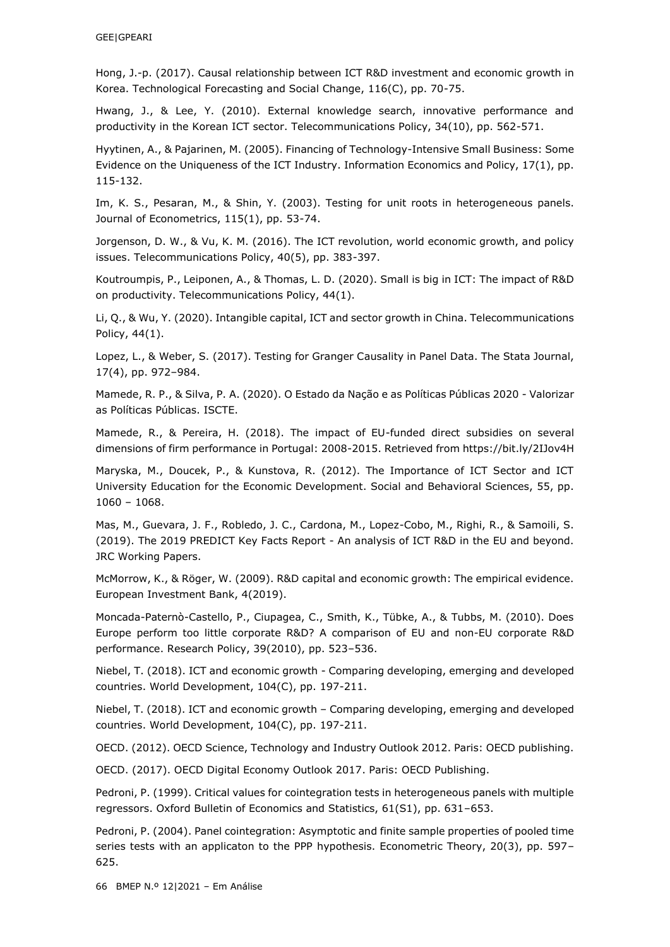Hong, J.-p. (2017). Causal relationship between ICT R&D investment and economic growth in Korea. Technological Forecasting and Social Change, 116(C), pp. 70-75.

Hwang, J., & Lee, Y. (2010). External knowledge search, innovative performance and productivity in the Korean ICT sector. Telecommunications Policy, 34(10), pp. 562-571.

Hyytinen, A., & Pajarinen, M. (2005). Financing of Technology-Intensive Small Business: Some Evidence on the Uniqueness of the ICT Industry. Information Economics and Policy, 17(1), pp. 115-132.

Im, K. S., Pesaran, M., & Shin, Y. (2003). Testing for unit roots in heterogeneous panels. Journal of Econometrics, 115(1), pp. 53-74.

Jorgenson, D. W., & Vu, K. M. (2016). The ICT revolution, world economic growth, and policy issues. Telecommunications Policy, 40(5), pp. 383-397.

Koutroumpis, P., Leiponen, A., & Thomas, L. D. (2020). Small is big in ICT: The impact of R&D on productivity. Telecommunications Policy, 44(1).

Li, Q., & Wu, Y. (2020). Intangible capital, ICT and sector growth in China. Telecommunications Policy, 44(1).

Lopez, L., & Weber, S. (2017). Testing for Granger Causality in Panel Data. The Stata Journal, 17(4), pp. 972–984.

Mamede, R. P., & Silva, P. A. (2020). O Estado da Nação e as Políticas Públicas 2020 - Valorizar as Políticas Públicas. ISCTE.

Mamede, R., & Pereira, H. (2018). The impact of EU-funded direct subsidies on several dimensions of firm performance in Portugal: 2008-2015. Retrieved from https://bit.ly/2IJov4H

Maryska, M., Doucek, P., & Kunstova, R. (2012). The Importance of ICT Sector and ICT University Education for the Economic Development. Social and Behavioral Sciences, 55, pp. 1060 – 1068.

Mas, M., Guevara, J. F., Robledo, J. C., Cardona, M., Lopez-Cobo, M., Righi, R., & Samoili, S. (2019). The 2019 PREDICT Key Facts Report - An analysis of ICT R&D in the EU and beyond. JRC Working Papers.

McMorrow, K., & Röger, W. (2009). R&D capital and economic growth: The empirical evidence. European Investment Bank, 4(2019).

Moncada-Paternò-Castello, P., Ciupagea, C., Smith, K., Tübke, A., & Tubbs, M. (2010). Does Europe perform too little corporate R&D? A comparison of EU and non-EU corporate R&D performance. Research Policy, 39(2010), pp. 523–536.

Niebel, T. (2018). ICT and economic growth - Comparing developing, emerging and developed countries. World Development, 104(C), pp. 197-211.

Niebel, T. (2018). ICT and economic growth – Comparing developing, emerging and developed countries. World Development, 104(C), pp. 197-211.

OECD. (2012). OECD Science, Technology and Industry Outlook 2012. Paris: OECD publishing.

OECD. (2017). OECD Digital Economy Outlook 2017. Paris: OECD Publishing.

Pedroni, P. (1999). Critical values for cointegration tests in heterogeneous panels with multiple regressors. Oxford Bulletin of Economics and Statistics, 61(S1), pp. 631–653.

Pedroni, P. (2004). Panel cointegration: Asymptotic and finite sample properties of pooled time series tests with an applicaton to the PPP hypothesis. Econometric Theory, 20(3), pp. 597– 625.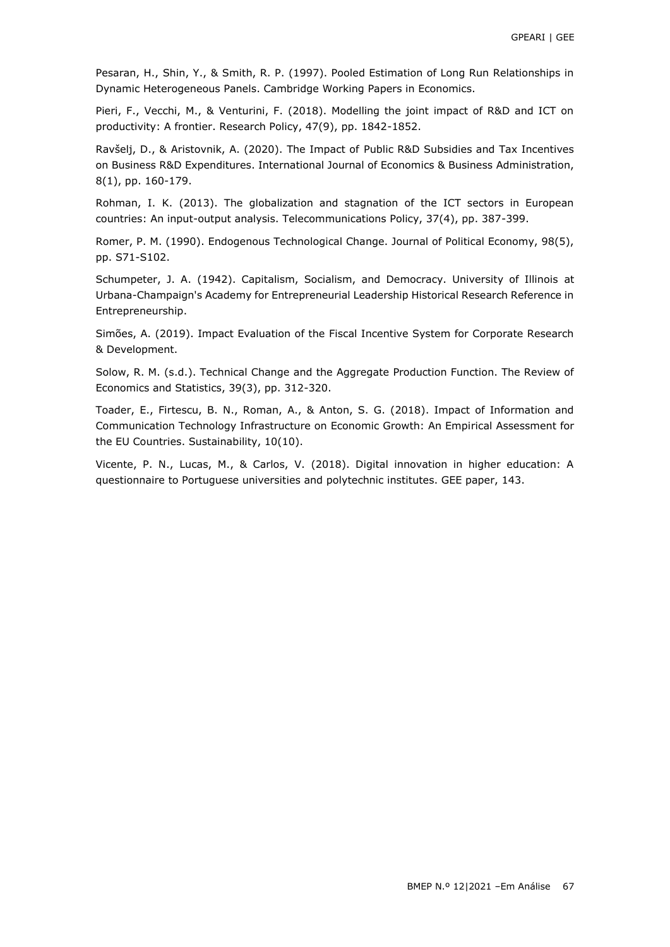Pesaran, H., Shin, Y., & Smith, R. P. (1997). Pooled Estimation of Long Run Relationships in Dynamic Heterogeneous Panels. Cambridge Working Papers in Economics.

Pieri, F., Vecchi, M., & Venturini, F. (2018). Modelling the joint impact of R&D and ICT on productivity: A frontier. Research Policy, 47(9), pp. 1842-1852.

Ravšelj, D., & Aristovnik, A. (2020). The Impact of Public R&D Subsidies and Tax Incentives on Business R&D Expenditures. International Journal of Economics & Business Administration, 8(1), pp. 160-179.

Rohman, I. K. (2013). The globalization and stagnation of the ICT sectors in European countries: An input-output analysis. Telecommunications Policy, 37(4), pp. 387-399.

Romer, P. M. (1990). Endogenous Technological Change. Journal of Political Economy, 98(5), pp. S71-S102.

Schumpeter, J. A. (1942). Capitalism, Socialism, and Democracy. University of Illinois at Urbana-Champaign's Academy for Entrepreneurial Leadership Historical Research Reference in Entrepreneurship.

Simões, A. (2019). Impact Evaluation of the Fiscal Incentive System for Corporate Research & Development.

Solow, R. M. (s.d.). Technical Change and the Aggregate Production Function. The Review of Economics and Statistics, 39(3), pp. 312-320.

Toader, E., Firtescu, B. N., Roman, A., & Anton, S. G. (2018). Impact of Information and Communication Technology Infrastructure on Economic Growth: An Empirical Assessment for the EU Countries. Sustainability, 10(10).

Vicente, P. N., Lucas, M., & Carlos, V. (2018). Digital innovation in higher education: A questionnaire to Portuguese universities and polytechnic institutes. GEE paper, 143.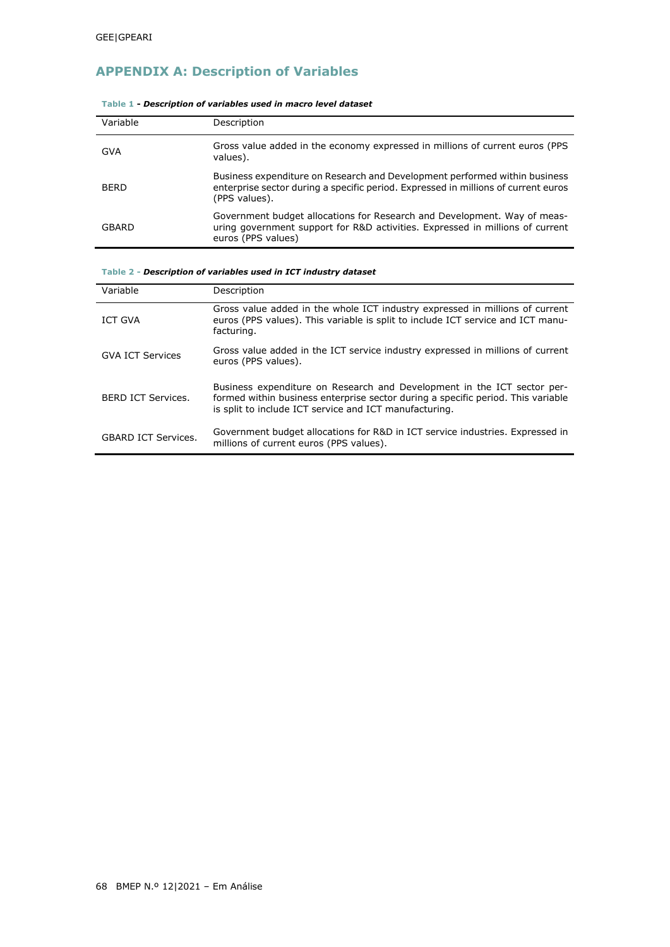# **APPENDIX A: Description of Variables**

| Variable    | Description                                                                                                                                                                       |
|-------------|-----------------------------------------------------------------------------------------------------------------------------------------------------------------------------------|
| <b>GVA</b>  | Gross value added in the economy expressed in millions of current euros (PPS<br>values).                                                                                          |
| <b>BERD</b> | Business expenditure on Research and Development performed within business<br>enterprise sector during a specific period. Expressed in millions of current euros<br>(PPS values). |
| GBARD       | Government budget allocations for Research and Development. Way of meas-<br>uring government support for R&D activities. Expressed in millions of current<br>euros (PPS values)   |

#### **Table 1 -** *Description of variables used in macro level dataset*

#### **Table 2 -** *Description of variables used in ICT industry dataset*

| Variable                   | Description                                                                                                                                                                                                           |
|----------------------------|-----------------------------------------------------------------------------------------------------------------------------------------------------------------------------------------------------------------------|
| ICT GVA                    | Gross value added in the whole ICT industry expressed in millions of current<br>euros (PPS values). This variable is split to include ICT service and ICT manu-<br>facturing.                                         |
| <b>GVA ICT Services</b>    | Gross value added in the ICT service industry expressed in millions of current<br>euros (PPS values).                                                                                                                 |
| <b>BERD ICT Services.</b>  | Business expenditure on Research and Development in the ICT sector per-<br>formed within business enterprise sector during a specific period. This variable<br>is split to include ICT service and ICT manufacturing. |
| <b>GBARD ICT Services.</b> | Government budget allocations for R&D in ICT service industries. Expressed in<br>millions of current euros (PPS values).                                                                                              |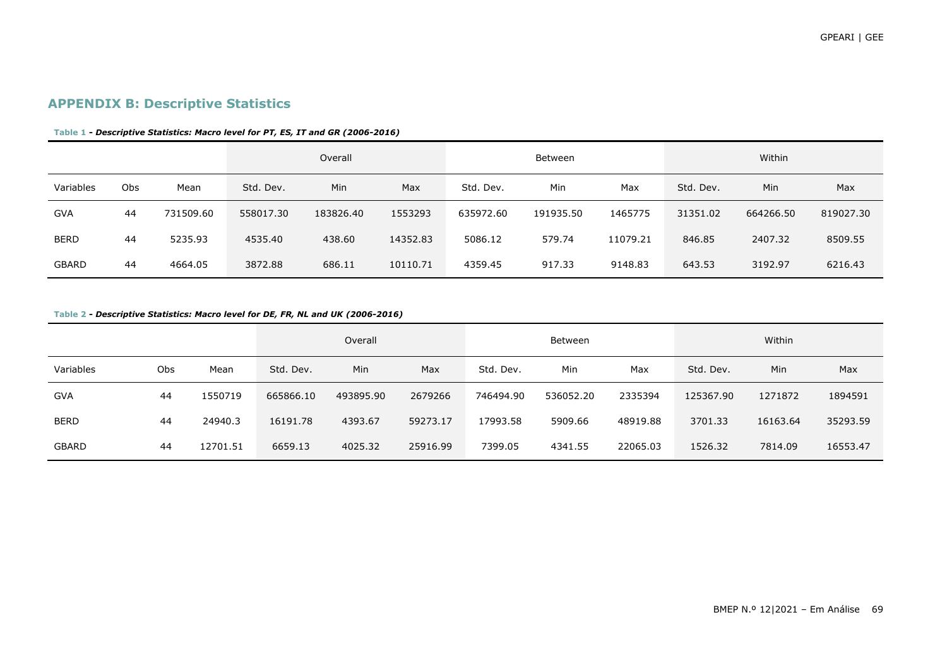## **APPENDIX B: Descriptive Statistics**

#### **Table 1 -** *Descriptive Statistics: Macro level for PT, ES, IT and GR (2006-2016)*

|              |     |           |           | Overall   |          |           | Between   |          |           | Within    |           |
|--------------|-----|-----------|-----------|-----------|----------|-----------|-----------|----------|-----------|-----------|-----------|
| Variables    | Obs | Mean      | Std. Dev. | Min       | Max      | Std. Dev. | Min       | Max      | Std. Dev. | Min       | Max       |
| <b>GVA</b>   | 44  | 731509.60 | 558017.30 | 183826.40 | 1553293  | 635972.60 | 191935.50 | 1465775  | 31351.02  | 664266.50 | 819027.30 |
| <b>BERD</b>  | 44  | 5235.93   | 4535.40   | 438.60    | 14352.83 | 5086.12   | 579.74    | 11079.21 | 846.85    | 2407.32   | 8509.55   |
| <b>GBARD</b> | 44  | 4664.05   | 3872.88   | 686.11    | 10110.71 | 4359.45   | 917.33    | 9148.83  | 643.53    | 3192.97   | 6216.43   |

#### **Table 2 -** *Descriptive Statistics: Macro level for DE, FR, NL and UK (2006-2016)*

|              |     |          |           | Overall   |          |           | Between   |          |           | Within   |          |
|--------------|-----|----------|-----------|-----------|----------|-----------|-----------|----------|-----------|----------|----------|
| Variables    | Obs | Mean     | Std. Dev. | Min       | Max      | Std. Dev. | Min       | Max      | Std. Dev. | Min      | Max      |
| <b>GVA</b>   | 44  | 1550719  | 665866.10 | 493895.90 | 2679266  | 746494.90 | 536052.20 | 2335394  | 125367.90 | 1271872  | 1894591  |
| <b>BERD</b>  | 44  | 24940.3  | 16191.78  | 4393.67   | 59273.17 | 17993.58  | 5909.66   | 48919.88 | 3701.33   | 16163.64 | 35293.59 |
| <b>GBARD</b> | 44  | 12701.51 | 6659.13   | 4025.32   | 25916.99 | 7399.05   | 4341.55   | 22065.03 | 1526.32   | 7814.09  | 16553.47 |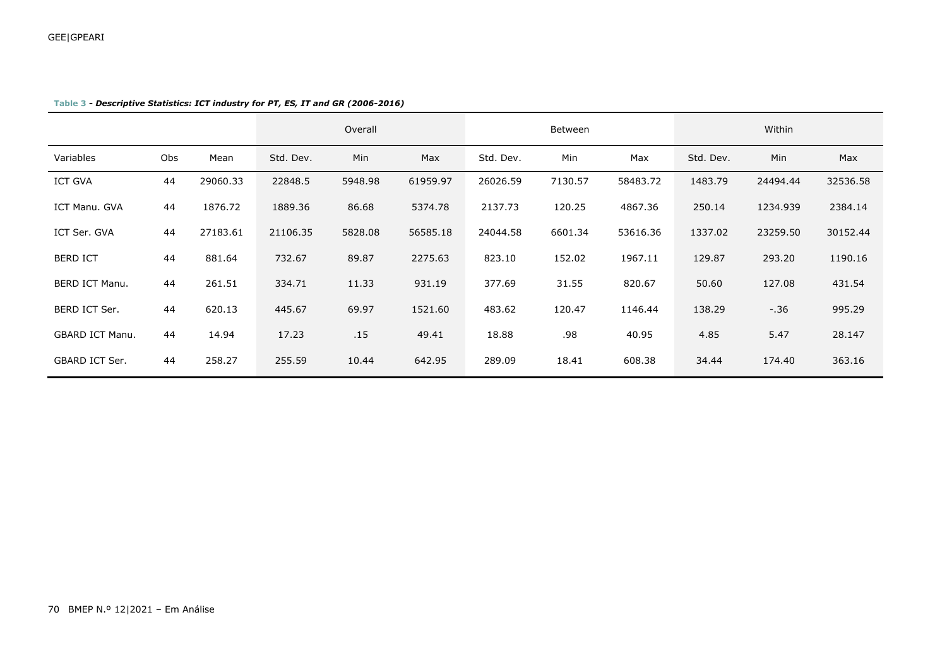|                        |     |          |           | Overall |          | Between   |         |          | Within    |            |          |
|------------------------|-----|----------|-----------|---------|----------|-----------|---------|----------|-----------|------------|----------|
| Variables              | Obs | Mean     | Std. Dev. | Min     | Max      | Std. Dev. | Min     | Max      | Std. Dev. | <b>Min</b> | Max      |
| <b>ICT GVA</b>         | 44  | 29060.33 | 22848.5   | 5948.98 | 61959.97 | 26026.59  | 7130.57 | 58483.72 | 1483.79   | 24494.44   | 32536.58 |
| ICT Manu. GVA          | 44  | 1876.72  | 1889.36   | 86.68   | 5374.78  | 2137.73   | 120.25  | 4867.36  | 250.14    | 1234.939   | 2384.14  |
| ICT Ser. GVA           | 44  | 27183.61 | 21106.35  | 5828.08 | 56585.18 | 24044.58  | 6601.34 | 53616.36 | 1337.02   | 23259.50   | 30152.44 |
| <b>BERD ICT</b>        | 44  | 881.64   | 732.67    | 89.87   | 2275.63  | 823.10    | 152.02  | 1967.11  | 129.87    | 293.20     | 1190.16  |
| <b>BERD ICT Manu.</b>  | 44  | 261.51   | 334.71    | 11.33   | 931.19   | 377.69    | 31.55   | 820.67   | 50.60     | 127.08     | 431.54   |
| BERD ICT Ser.          | 44  | 620.13   | 445.67    | 69.97   | 1521.60  | 483.62    | 120.47  | 1146.44  | 138.29    | $-.36$     | 995.29   |
| <b>GBARD ICT Manu.</b> | 44  | 14.94    | 17.23     | .15     | 49.41    | 18.88     | .98     | 40.95    | 4.85      | 5.47       | 28.147   |
| GBARD ICT Ser.         | 44  | 258.27   | 255.59    | 10.44   | 642.95   | 289.09    | 18.41   | 608.38   | 34.44     | 174.40     | 363.16   |

#### **Table 3 -** *Descriptive Statistics: ICT industry for PT, ES, IT and GR (2006-2016)*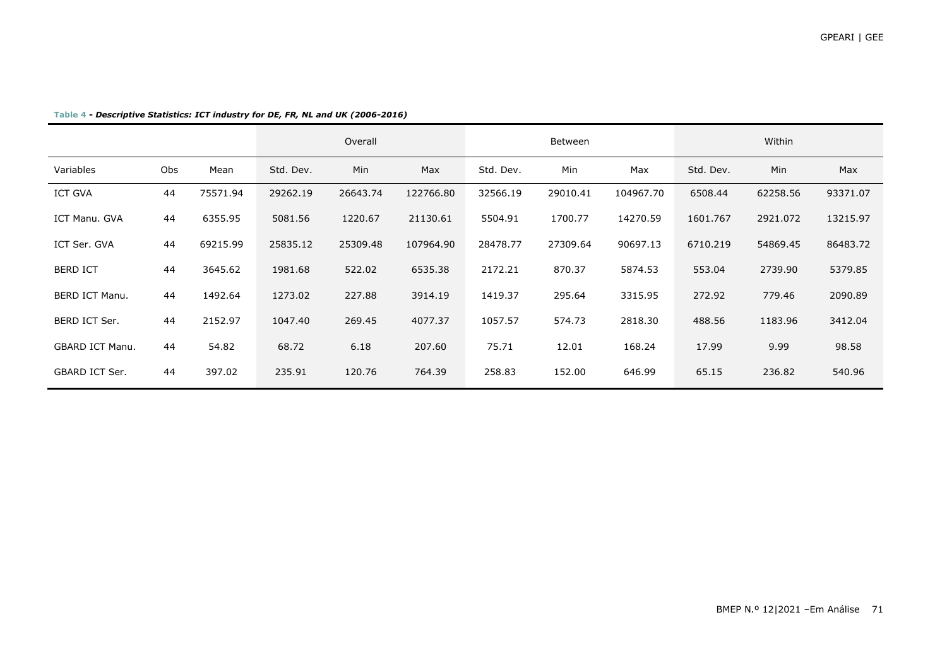|                        |     |          |           | Overall  |           |           | Between  |           |           | Within   |          |
|------------------------|-----|----------|-----------|----------|-----------|-----------|----------|-----------|-----------|----------|----------|
| Variables              | Obs | Mean     | Std. Dev. | Min      | Max       | Std. Dev. | Min      | Max       | Std. Dev. | Min      | Max      |
| <b>ICT GVA</b>         | 44  | 75571.94 | 29262.19  | 26643.74 | 122766.80 | 32566.19  | 29010.41 | 104967.70 | 6508.44   | 62258.56 | 93371.07 |
| ICT Manu. GVA          | 44  | 6355.95  | 5081.56   | 1220.67  | 21130.61  | 5504.91   | 1700.77  | 14270.59  | 1601.767  | 2921.072 | 13215.97 |
| ICT Ser. GVA           | 44  | 69215.99 | 25835.12  | 25309.48 | 107964.90 | 28478.77  | 27309.64 | 90697.13  | 6710.219  | 54869.45 | 86483.72 |
| <b>BERD ICT</b>        | 44  | 3645.62  | 1981.68   | 522.02   | 6535.38   | 2172.21   | 870.37   | 5874.53   | 553.04    | 2739.90  | 5379.85  |
| <b>BERD ICT Manu.</b>  | 44  | 1492.64  | 1273.02   | 227.88   | 3914.19   | 1419.37   | 295.64   | 3315.95   | 272.92    | 779.46   | 2090.89  |
| BERD ICT Ser.          | 44  | 2152.97  | 1047.40   | 269.45   | 4077.37   | 1057.57   | 574.73   | 2818.30   | 488.56    | 1183.96  | 3412.04  |
| <b>GBARD ICT Manu.</b> | 44  | 54.82    | 68.72     | 6.18     | 207.60    | 75.71     | 12.01    | 168.24    | 17.99     | 9.99     | 98.58    |
| GBARD ICT Ser.         | 44  | 397.02   | 235.91    | 120.76   | 764.39    | 258.83    | 152.00   | 646.99    | 65.15     | 236.82   | 540.96   |

**Table 4 -** *Descriptive Statistics: ICT industry for DE, FR, NL and UK (2006-2016)*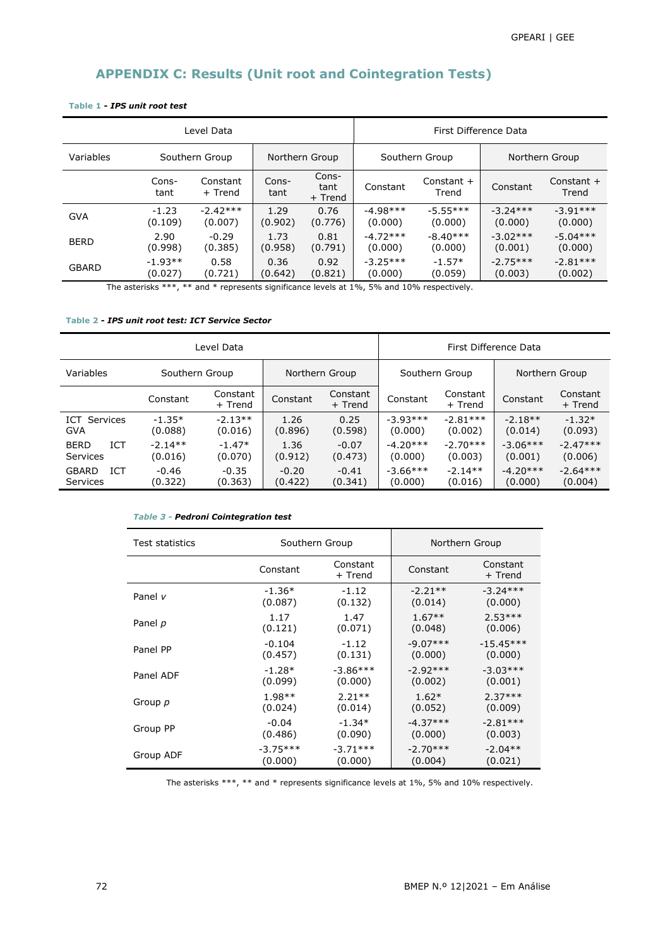## **APPENDIX C: Results (Unit root and Cointegration Tests)**

|              |                | Level Data          |                | First Difference Data    |            |                       |                |                       |
|--------------|----------------|---------------------|----------------|--------------------------|------------|-----------------------|----------------|-----------------------|
| Variables    | Southern Group |                     | Northern Group |                          |            | Southern Group        | Northern Group |                       |
|              | Cons-<br>tant  | Constant<br>+ Trend | Cons-<br>tant  | Cons-<br>tant<br>+ Trend | Constant   | Constant $+$<br>Trend | Constant       | Constant $+$<br>Trend |
| <b>GVA</b>   | $-1.23$        | $-2.42***$          | 1.29           | 0.76                     | $-4.98***$ | $-5.55***$            | $-3.24***$     | $-3.91***$            |
|              | (0.109)        | (0.007)             | (0.902)        | (0.776)                  | (0.000)    | (0.000)               | (0.000)        | (0.000)               |
| <b>BERD</b>  | 2.90           | $-0.29$             | 1.73           | 0.81                     | $-4.72***$ | $-8.40***$            | $-3.02***$     | $-5.04***$            |
|              | (0.998)        | (0.385)             | (0.958)        | (0.791)                  | (0.000)    | (0.000)               | (0.001)        | (0.000)               |
| <b>GBARD</b> | $-1.93**$      | 0.58                | 0.36           | 0.92                     | $-3.25***$ | $-1.57*$              | $-2.75***$     | $-2.81***$            |
|              | (0.027)        | (0.721)             | (0.642)        | (0.821)                  | (0.000)    | (0.059)               | (0.003)        | (0.002)               |

## **Table 1 -** *IPS unit root test*

The asterisks \*\*\*, \*\* and \* represents significance levels at 1%, 5% and 10% respectively.

#### **Table 2 -** *IPS unit root test: ICT Service Sector*

| Level Data                             |                      |                      |                    | First Difference Data |                       |                       |                       |                       |
|----------------------------------------|----------------------|----------------------|--------------------|-----------------------|-----------------------|-----------------------|-----------------------|-----------------------|
| Variables                              | Southern Group       |                      | Northern Group     |                       | Southern Group        |                       | Northern Group        |                       |
|                                        | Constant             | Constant<br>+ Trend  | Constant           | Constant<br>+ Trend   | Constant              | Constant<br>$+$ Trend | Constant              | Constant<br>+ Trend   |
| <b>ICT</b> Services<br><b>GVA</b>      | $-1.35*$<br>(0.088)  | $-2.13**$<br>(0.016) | 1.26<br>(0.896)    | 0.25<br>(0.598)       | $-3.93***$<br>(0.000) | $-2.81***$<br>(0.002) | $-2.18**$<br>(0.014)  | $-1.32*$<br>(0.093)   |
| <b>ICT</b><br><b>BERD</b><br>Services  | $-2.14**$<br>(0.016) | $-1.47*$<br>(0.070)  | 1.36<br>(0.912)    | $-0.07$<br>(0.473)    | $-4.20***$<br>(0.000) | $-2.70***$<br>(0.003) | $-3.06***$<br>(0.001) | $-2.47***$<br>(0.006) |
| <b>ICT</b><br><b>GBARD</b><br>Services | $-0.46$<br>(0.322)   | $-0.35$<br>(0.363)   | $-0.20$<br>(0.422) | $-0.41$<br>(0.341)    | $-3.66***$<br>(0.000) | $-2.14**$<br>(0.016)  | $-4.20***$<br>(0.000) | $-2.64***$<br>(0.004) |

#### *Table 3 - Pedroni Cointegration test*

| Test statistics | Southern Group |                     | Northern Group |                     |  |
|-----------------|----------------|---------------------|----------------|---------------------|--|
|                 | Constant       | Constant<br>+ Trend | Constant       | Constant<br>+ Trend |  |
| Panel v         | $-1.36*$       | $-1.12$             | $-2.21**$      | $-3.24***$          |  |
|                 | (0.087)        | (0.132)             | (0.014)        | (0.000)             |  |
| Panel p         | 1.17           | 1.47                | $1.67**$       | $2.53***$           |  |
|                 | (0.121)        | (0.071)             | (0.048)        | (0.006)             |  |
| Panel PP        | $-0.104$       | $-1.12$             | $-9.07***$     | $-15.45***$         |  |
|                 | (0.457)        | (0.131)             | (0.000)        | (0.000)             |  |
| Panel ADF       | $-1.28*$       | $-3.86***$          | $-2.92***$     | $-3.03***$          |  |
|                 | (0.099)        | (0.000)             | (0.002)        | (0.001)             |  |
| Group p         | $1.98**$       | $2.21**$            | $1.62*$        | $2.37***$           |  |
|                 | (0.024)        | (0.014)             | (0.052)        | (0.009)             |  |
| Group PP        | $-0.04$        | $-1.34*$            | $-4.37***$     | $-2.81***$          |  |
|                 | (0.486)        | (0.090)             | (0.000)        | (0.003)             |  |
| Group ADF       | $-3.75***$     | $-3.71***$          | $-2.70***$     | $-2.04**$           |  |
|                 | (0.000)        | (0.000)             | (0.004)        | (0.021)             |  |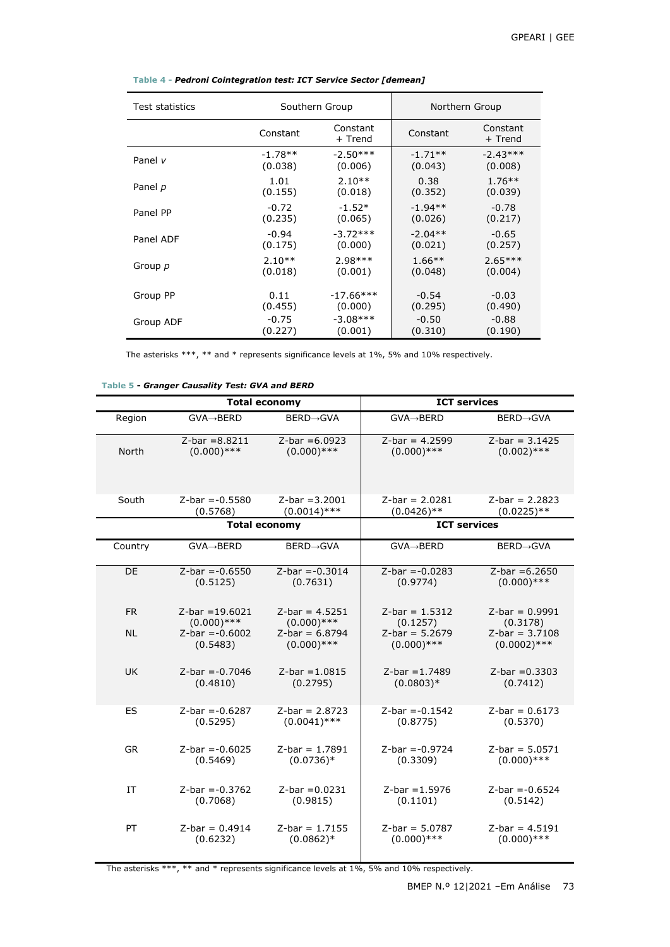| <b>Test statistics</b> | Southern Group |                     | Northern Group |                     |  |
|------------------------|----------------|---------------------|----------------|---------------------|--|
|                        | Constant       | Constant<br>+ Trend | Constant       | Constant<br>+ Trend |  |
| Panel $\nu$            | $-1.78**$      | $-2.50***$          | $-1.71**$      | $-2.43***$          |  |
|                        | (0.038)        | (0.006)             | (0.043)        | (0.008)             |  |
| Panel p                | 1.01           | $2.10**$            | 0.38           | $1.76***$           |  |
|                        | (0.155)        | (0.018)             | (0.352)        | (0.039)             |  |
| Panel PP               | $-0.72$        | $-1.52*$            | $-1.94**$      | $-0.78$             |  |
|                        | (0.235)        | (0.065)             | (0.026)        | (0.217)             |  |
| Panel ADF              | $-0.94$        | $-3.72***$          | $-2.04**$      | $-0.65$             |  |
|                        | (0.175)        | (0.000)             | (0.021)        | (0.257)             |  |
| Group p                | $2.10**$       | $2.98***$           | $1.66***$      | $2.65***$           |  |
|                        | (0.018)        | (0.001)             | (0.048)        | (0.004)             |  |
| Group PP               | 0.11           | $-17.66***$         | $-0.54$        | $-0.03$             |  |
|                        | (0.455)        | (0.000)             | (0.295)        | (0.490)             |  |
| Group ADF              | $-0.75$        | $-3.08***$          | $-0.50$        | $-0.88$             |  |
|                        | (0.227)        | (0.001)             | (0.310)        | (0.190)             |  |

**Table 4 -** *Pedroni Cointegration test: ICT Service Sector [demean]*

The asterisks \*\*\*, \*\* and \* represents significance levels at 1%, 5% and 10% respectively.

**Table 5 -** *Granger Causality Test: GVA and BERD*

|              | <b>Total economy</b>   |                   | <b>ICT services</b>    |                   |  |
|--------------|------------------------|-------------------|------------------------|-------------------|--|
| Region       | GVA→BERD               | <b>BERD→GVA</b>   | $GVA \rightarrow BERD$ | <b>BERD→GVA</b>   |  |
| <b>North</b> | $Z-bar = 8.8211$       | $Z-bar = 6.0923$  | $Z-bar = 4.2599$       | $Z-bar = 3.1425$  |  |
|              | $(0.000)$ ***          | $(0.000)$ ***     | $(0.000)$ ***          | $(0.002)$ ***     |  |
| South        | $Z-bar = -0.5580$      | $Z-bar = 3.2001$  | $Z-bar = 2.0281$       | $Z-bar = 2.2823$  |  |
|              | (0.5768)               | $(0.0014)$ ***    | $(0.0426)$ **          | $(0.0225)$ **     |  |
|              | <b>Total economy</b>   |                   | <b>ICT services</b>    |                   |  |
| Country      | $GVA \rightarrow BERD$ | <b>BERD→GVA</b>   | $GVA \rightarrow BERD$ | <b>BERD→GVA</b>   |  |
| DE           | $Z-bar = -0.6550$      | $Z-bar = -0.3014$ | $Z-bar = -0.0283$      | $Z-bar = 6.2650$  |  |
|              | (0.5125)               | (0.7631)          | (0.9774)               | $(0.000)$ ***     |  |
| <b>FR</b>    | $Z$ -bar = 19.6021     | $Z$ -bar = 4.5251 | $Z-bar = 1.5312$       | $Z-bar = 0.9991$  |  |
|              | $(0.000)$ ***          | $(0.000)$ ***     | (0.1257)               | (0.3178)          |  |
| <b>NL</b>    | $Z-bar = -0.6002$      | $Z-bar = 6.8794$  | $Z-bar = 5.2679$       | $Z-bar = 3.7108$  |  |
|              | (0.5483)               | $(0.000)$ ***     | $(0.000)$ ***          | $(0.0002)$ ***    |  |
| <b>UK</b>    | $Z-bar = -0.7046$      | $Z-bar = 1.0815$  | $Z-bar = 1.7489$       | $Z-bar = 0.3303$  |  |
|              | (0.4810)               | (0.2795)          | $(0.0803)*$            | (0.7412)          |  |
| ES           | $Z-bar = -0.6287$      | $Z-bar = 2.8723$  | $Z-bar = -0.1542$      | $Z-bar = 0.6173$  |  |
|              | (0.5295)               | $(0.0041)$ ***    | (0.8775)               | (0.5370)          |  |
| <b>GR</b>    | $Z-bar = -0.6025$      | $Z$ -bar = 1.7891 | $Z-bar = -0.9724$      | $Z$ -bar = 5.0571 |  |
|              | (0.5469)               | $(0.0736)*$       | (0.3309)               | $(0.000)$ ***     |  |
| IT           | $Z-bar = -0.3762$      | $Z-bar = 0.0231$  | $Z-bar = 1.5976$       | $Z-bar = -0.6524$ |  |
|              | (0.7068)               | (0.9815)          | (0.1101)               | (0.5142)          |  |
| PT           | $Z-bar = 0.4914$       | $Z-bar = 1.7155$  | $Z-bar = 5.0787$       | $Z-bar = 4.5191$  |  |
|              | (0.6232)               | $(0.0862)*$       | $(0.000)$ ***          | $(0.000)$ ***     |  |